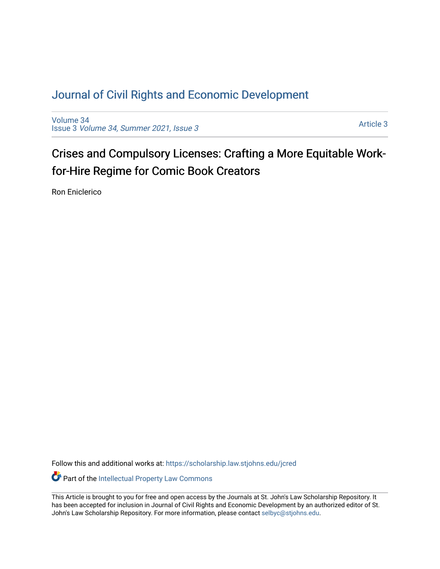# [Journal of Civil Rights and Economic Development](https://scholarship.law.stjohns.edu/jcred)

[Volume 34](https://scholarship.law.stjohns.edu/jcred/vol34) Issue 3 [Volume 34, Summer 2021, Issue 3](https://scholarship.law.stjohns.edu/jcred/vol34/iss3) 

[Article 3](https://scholarship.law.stjohns.edu/jcred/vol34/iss3/3) 

Crises and Compulsory Licenses: Crafting a More Equitable Workfor-Hire Regime for Comic Book Creators

Ron Eniclerico

Follow this and additional works at: [https://scholarship.law.stjohns.edu/jcred](https://scholarship.law.stjohns.edu/jcred?utm_source=scholarship.law.stjohns.edu%2Fjcred%2Fvol34%2Fiss3%2F3&utm_medium=PDF&utm_campaign=PDFCoverPages) 

Part of the [Intellectual Property Law Commons](http://network.bepress.com/hgg/discipline/896?utm_source=scholarship.law.stjohns.edu%2Fjcred%2Fvol34%2Fiss3%2F3&utm_medium=PDF&utm_campaign=PDFCoverPages) 

This Article is brought to you for free and open access by the Journals at St. John's Law Scholarship Repository. It has been accepted for inclusion in Journal of Civil Rights and Economic Development by an authorized editor of St. John's Law Scholarship Repository. For more information, please contact [selbyc@stjohns.edu](mailto:selbyc@stjohns.edu).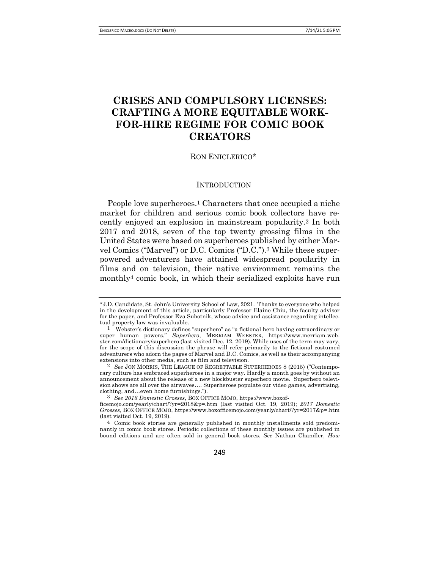# **CRISES AND COMPULSORY LICENSES: CRAFTING A MORE EQUITABLE WORK-FOR-HIRE REGIME FOR COMIC BOOK CREATORS**

## RON ENICLERICO\*

## **INTRODUCTION**

People love superheroes.1 Characters that once occupied a niche market for children and serious comic book collectors have recently enjoyed an explosion in mainstream popularity.2 In both 2017 and 2018, seven of the top twenty grossing films in the United States were based on superheroes published by either Marvel Comics ("Marvel") or D.C. Comics ("D.C.").3 While these superpowered adventurers have attained widespread popularity in films and on television, their native environment remains the monthly4 comic book, in which their serialized exploits have run

249

<sup>\*</sup>J.D. Candidate, St. John's University School of Law, 2021. Thanks to everyone who helped in the development of this article, particularly Professor Elaine Chiu, the faculty advisor for the paper, and Professor Eva Subotnik, whose advice and assistance regarding intellectual property law was invaluable.

<sup>1</sup> Webster's dictionary defines "superhero" as "a fictional hero having extraordinary or super human powers." *Superhero*, MERRIAM WEBSTER, https://www.merriam-webster.com/dictionary/superhero (last visited Dec. 12, 2019). While uses of the term may vary, for the scope of this discussion the phrase will refer primarily to the fictional costumed adventurers who adorn the pages of Marvel and D.C. Comics, as well as their accompanying extensions into other media, such as film and television.

<sup>2</sup> *See* JON MORRIS, THE LEAGUE OF REGRETTABLE SUPERHEROES 8 (2015) ("Contemporary culture has embraced superheroes in a major way. Hardly a month goes by without an announcement about the release of a new blockbuster superhero movie. Superhero television shows are all over the airwaves…. Superheroes populate our video games, advertising, clothing, and…even home furnishings.").

<sup>3</sup> *See 2018 Domestic Grosses*, BOX OFFICE MOJO, https://www.boxof-

ficemojo.com/yearly/chart/?yr=2018&p=.htm (last visited Oct. 19, 2019); *2017 Domestic Grosses*, BOX OFFICE MOJO, https://www.boxofficemojo.com/yearly/chart/?yr=2017&p=.htm (last visited Oct. 19, 2019).

<sup>4</sup> Comic book stories are generally published in monthly installments sold predominantly in comic book stores. Periodic collections of these monthly issues are published in bound editions and are often sold in general book stores. *See* Nathan Chandler, *How*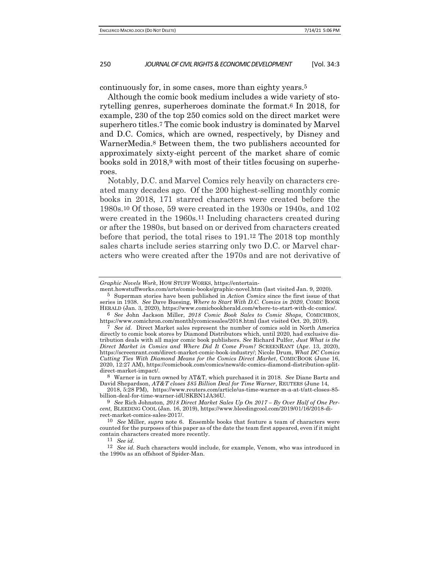continuously for, in some cases, more than eighty years.5

Although the comic book medium includes a wide variety of storytelling genres, superheroes dominate the format.6 In 2018, for example, 230 of the top 250 comics sold on the direct market were superhero titles.7 The comic book industry is dominated by Marvel and D.C. Comics, which are owned, respectively, by Disney and WarnerMedia.8 Between them, the two publishers accounted for approximately sixty-eight percent of the market share of comic books sold in 2018,9 with most of their titles focusing on superheroes.

Notably, D.C. and Marvel Comics rely heavily on characters created many decades ago. Of the 200 highest-selling monthly comic books in 2018, 171 starred characters were created before the 1980s.10 Of those, 59 were created in the 1930s or 1940s, and 102 were created in the 1960s.11 Including characters created during or after the 1980s, but based on or derived from characters created before that period, the total rises to 191.12 The 2018 top monthly sales charts include series starring only two D.C. or Marvel characters who were created after the 1970s and are not derivative of

8 Warner is in turn owned by AT&T, which purchased it in 2018. *See* Diane Bartz and David Shepardson, *AT&T closes \$85 Billion Deal for Time Warner*, REUTERS (June 14,

2018, 5:28 PM), https://www.reuters.com/article/us-time-warner-m-a-at-t/att-closes-85 billion-deal-for-time-warner-idUSKBN1JA36U.

11 *See id.*

*Graphic Novels Work*, HOW STUFF WORKS, https://entertain-

ment.howstuffworks.com/arts/comic-books/graphic-novel.htm (last visited Jan. 9, 2020). 5 Superman stories have been published in *Action Comics* since the first issue of that series in 1938. *See* Dave Buesing, *Where to Start With D.C. Comics in 2020*, COMIC BOOK

HERALD (Jan. 3, 2020), https://www.comicbookherald.com/where-to-start-with-dc-comics/. 6 *See* John Jackson Miller, *2018 Comic Book Sales to Comic Shops,* COMICHRON, https://www.comichron.com/monthlycomicssales/2018.html (last visited Oct. 20, 2019).

<sup>7</sup> *See id.* Direct Market sales represent the number of comics sold in North America directly to comic book stores by Diamond Distributors which, until 2020, had exclusive distribution deals with all major comic book publishers. *See* Richard Pulfer, *Just What is the Direct Market in Comics and Where Did It Come From?* SCREENRANT (Apr. 13, 2020), https://screenrant.com/direct-market-comic-book-industry/; Nicole Drum, *What DC Comics Cutting Ties With Diamond Means for the Comics Direct Market*, COMICBOOK (June 16, 2020, 12:27 AM), https://comicbook.com/comics/news/dc-comics-diamond-distribution-splitdirect-market-impact/.

<sup>9</sup> *See* Rich Johnston, *2018 Direct Market Sales Up On 2017 – By Over Half of One Percent,* BLEEDING COOL (Jan. 16, 2019), https://www.bleedingcool.com/2019/01/16/2018-direct-market-comics-sales-2017/.

<sup>10</sup> *See* Miller, *supra* note 6. Ensemble books that feature a team of characters were counted for the purposes of this paper as of the date the team first appeared, even if it might contain characters created more recently.

<sup>12</sup> *See id.* Such characters would include, for example, Venom, who was introduced in the 1990s as an offshoot of Spider-Man.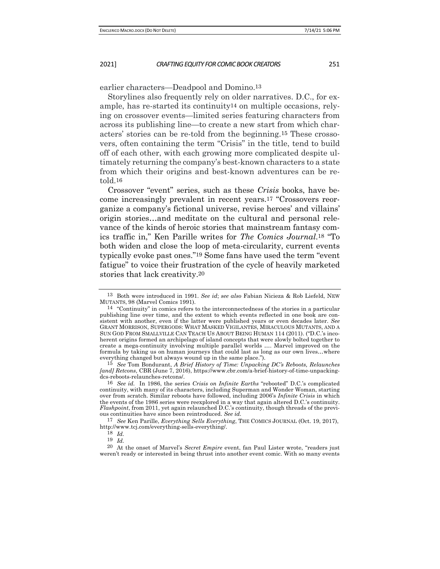earlier characters—Deadpool and Domino.13

Storylines also frequently rely on older narratives. D.C., for example, has re-started its continuity14 on multiple occasions, relying on crossover events—limited series featuring characters from across its publishing line—to create a new start from which characters' stories can be re-told from the beginning.15 These crossovers, often containing the term "Crisis" in the title, tend to build off of each other, with each growing more complicated despite ultimately returning the company's best-known characters to a state from which their origins and best-known adventures can be retold.16

Crossover "event" series, such as these *Crisis* books, have become increasingly prevalent in recent years.17 "Crossovers reorganize a company's fictional universe, revise heroes' and villains' origin stories…and meditate on the cultural and personal relevance of the kinds of heroic stories that mainstream fantasy comics traffic in," Ken Parille writes for *The Comics Journal*.18 "To both widen and close the loop of meta-circularity, current events typically evoke past ones."19 Some fans have used the term "event fatigue" to voice their frustration of the cycle of heavily marketed stories that lack creativity.20

17 *See* Ken Parille, *Everything Sells Everything*, THE COMICS JOURNAL (Oct. 19, 2017), http://www.tcj.com/everything-sells-everything/.

<sup>13</sup> Both were introduced in 1991. *See id*; *see also* Fabian Nicieza & Rob Liefeld, NEW MUTANTS, 98 (Marvel Comics 1991).

<sup>14</sup> "Continuity" in comics refers to the interconnectedness of the stories in a particular publishing line over time, and the extent to which events reflected in one book are consistent with another, even if the latter were published years or even decades later. *See*  GRANT MORRISON, SUPERGODS: WHAT MASKED VIGILANTES, MIRACULOUS MUTANTS, AND A SUN GOD FROM SMALLVILLE CAN TEACH US ABOUT BEING HUMAN 114 (2011). ("D.C.'s incoherent origins formed an archipelago of island concepts that were slowly bolted together to create a mega-continuity involving multiple parallel worlds …. Marvel improved on the formula by taking us on human journeys that could last as long as our own lives…where everything changed but always wound up in the same place."). 15 *See* Tom Bondurant, *A Brief History of Time: Unpacking DC's Reboots, Relaunches* 

*<sup>[</sup>and] Retcons*, CBR (June 7, 2016), https://www.cbr.com/a-brief-history-of-time-unpackingdcs-reboots-relaunches-retcons/.

<sup>16</sup> *See id.* In 1986, the series *Crisis on Infinite Earths* "rebooted" D.C.'s complicated continuity, with many of its characters, including Superman and Wonder Woman, starting over from scratch. Similar reboots have followed, including 2006's *Infinite Crisis* in which the events of the 1986 series were reexplored in a way that again altered D.C.'s continuity. *Flashpoint*, from 2011, yet again relaunched D.C.'s continuity, though threads of the previous continuities have since been reintroduced. *See id.*

<sup>18</sup> *Id.*

<sup>19</sup> *Id.*

<sup>20</sup> At the onset of Marvel's *Secret Empire* event, fan Paul Lister wrote, "readers just weren't ready or interested in being thrust into another event comic. With so many events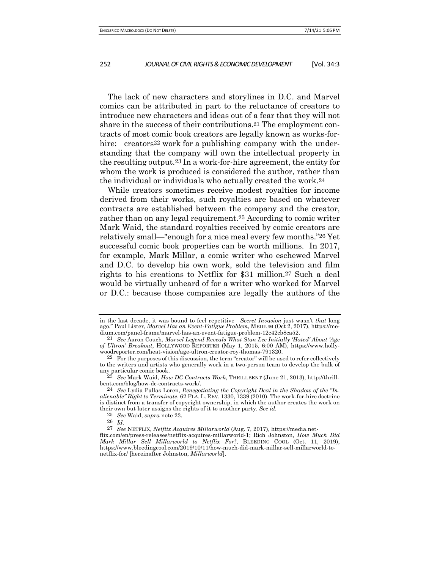The lack of new characters and storylines in D.C. and Marvel comics can be attributed in part to the reluctance of creators to introduce new characters and ideas out of a fear that they will not share in the success of their contributions.21 The employment contracts of most comic book creators are legally known as works-forhire: creators<sup>22</sup> work for a publishing company with the understanding that the company will own the intellectual property in the resulting output.23 In a work-for-hire agreement, the entity for whom the work is produced is considered the author, rather than the individual or individuals who actually created the work.24

While creators sometimes receive modest royalties for income derived from their works, such royalties are based on whatever contracts are established between the company and the creator, rather than on any legal requirement.25 According to comic writer Mark Waid, the standard royalties received by comic creators are relatively small—"enough for a nice meal every few months."26 Yet successful comic book properties can be worth millions. In 2017, for example, Mark Millar, a comic writer who eschewed Marvel and D.C. to develop his own work, sold the television and film rights to his creations to Netflix for \$31 million.27 Such a deal would be virtually unheard of for a writer who worked for Marvel or D.C.: because those companies are legally the authors of the

in the last decade, it was bound to feel repetitive—*Secret Invasion* just wasn't *that* long ago." Paul Lister, *Marvel Has an Event-Fatigue Problem*, MEDIUM (Oct 2, 2017), https://medium.com/panel-frame/marvel-has-an-event-fatigue-problem-12c42cb8ca52.

<sup>21</sup> *See* Aaron Couch, *Marvel Legend Reveals What Stan Lee Initially 'Hated' About 'Age of Ultron' Breakout*, HOLLYWOOD REPORTER (May 1, 2015, 6:00 AM), https://www.hollywoodreporter.com/heat-vision/age-ultron-creator-roy-thomas-791320.

<sup>22</sup> For the purposes of this discussion, the term "creator" will be used to refer collectively to the writers and artists who generally work in a two-person team to develop the bulk of any particular comic book.

<sup>23</sup> *See* Mark Waid, *How DC Contracts Work*, THRILLBENT (June 21, 2013), http://thrillbent.com/blog/how-dc-contracts-work/.

<sup>24</sup> *See* Lydia Pallas Loren, *Renegotiating the Copyright Deal in the Shadow of the "Inalienable" Right to Terminate*, 62 FLA. L. REV. 1330, 1339 (2010). The work-for-hire doctrine is distinct from a transfer of copyright ownership, in which the author creates the work on their own but later assigns the rights of it to another party. *See id.* 25 *See* Waid, *supra* note 23*.*

<sup>26</sup> *Id*. 27 *See* NETFLIX, *Netflix Acquires Millarworld* (Aug. 7, 2017), https://media.net-

flix.com/en/press-releases/netflix-acquires-millarworld-1; Rich Johnston, *How Much Did Mark Millar Sell Millarworld to Netflix For?*, BLEEDING COOL (Oct. 11, 2019), https://www.bleedingcool.com/2019/10/11/how-much-did-mark-millar-sell-millarworld-tonetflix-for/ [hereinafter Johnston, *Millarworld*].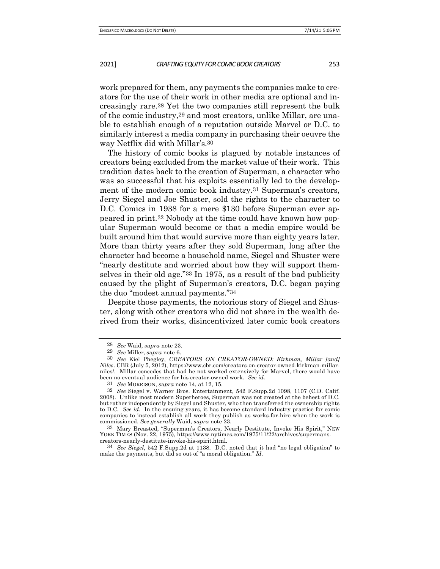work prepared for them, any payments the companies make to creators for the use of their work in other media are optional and increasingly rare.28 Yet the two companies still represent the bulk of the comic industry,29 and most creators, unlike Millar, are unable to establish enough of a reputation outside Marvel or D.C. to similarly interest a media company in purchasing their oeuvre the way Netflix did with Millar's.30

The history of comic books is plagued by notable instances of creators being excluded from the market value of their work. This tradition dates back to the creation of Superman, a character who was so successful that his exploits essentially led to the development of the modern comic book industry.31 Superman's creators, Jerry Siegel and Joe Shuster, sold the rights to the character to D.C. Comics in 1938 for a mere \$130 before Superman ever appeared in print.32 Nobody at the time could have known how popular Superman would become or that a media empire would be built around him that would survive more than eighty years later. More than thirty years after they sold Superman, long after the character had become a household name, Siegel and Shuster were "nearly destitute and worried about how they will support themselves in their old age."33 In 1975, as a result of the bad publicity caused by the plight of Superman's creators, D.C. began paying the duo "modest annual payments."34

Despite those payments, the notorious story of Siegel and Shuster, along with other creators who did not share in the wealth derived from their works, disincentivized later comic book creators

34 *See Siegel*, 542 F.Supp.2d at 1138. D.C. noted that it had "no legal obligation" to make the payments, but did so out of "a moral obligation." *Id.*

<sup>28</sup> *See* Waid, *supra* note 23*.* 29 *See* Miller, *supra* note 6.

<sup>30</sup> *See* Kiel Phegley, *CREATORS ON CREATOR-OWNED: Kirkman, Millar [and] Niles*. CBR (July 5, 2012), https://www.cbr.com/creators-on-creator-owned-kirkman-millarniles/. Millar concedes that had he not worked extensively for Marvel, there would have been no eventual audience for his creator-owned work. *See id.*

<sup>31</sup> *See* MORRISON, *supra* note 14, at 12, 15.

<sup>32</sup> *See* Siegel v. Warner Bros. Entertainment, 542 F.Supp.2d 1098, 1107 (C.D. Calif. 2008). Unlike most modern Superheroes, Superman was not created at the behest of D.C. but rather independently by Siegel and Shuster, who then transferred the ownership rights to D.C. *See id*. In the ensuing years, it has become standard industry practice for comic companies to instead establish all work they publish as works-for-hire when the work is commissioned. *See generally* Waid, *supra* note 23.

<sup>33</sup> Mary Breasted, "Superman's Creators, Nearly Destitute, Invoke His Spirit," NEW YORK TIMES (Nov. 22, 1975), https://www.nytimes.com/1975/11/22/archives/supermanscreators-nearly-destitute-invoke-his-spirit.html.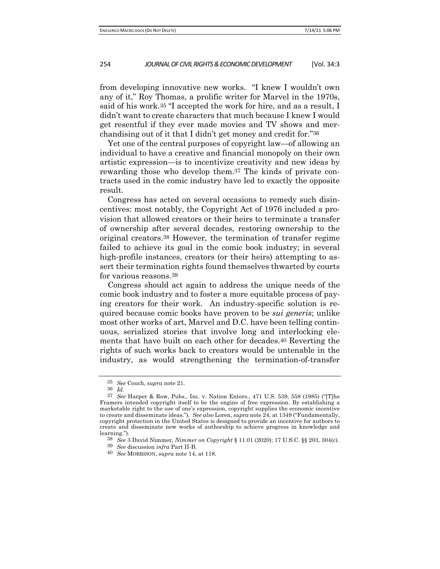from developing innovative new works. "I knew I wouldn't own any of it," Roy Thomas, a prolific writer for Marvel in the 1970s, said of his work.35 "I accepted the work for hire, and as a result, I didn't want to create characters that much because I knew I would get resentful if they ever made movies and TV shows and merchandising out of it that I didn't get money and credit for."36

Yet one of the central purposes of copyright law—of allowing an individual to have a creative and financial monopoly on their own artistic expression—is to incentivize creativity and new ideas by rewarding those who develop them.37 The kinds of private contracts used in the comic industry have led to exactly the opposite result.

Congress has acted on several occasions to remedy such disincentives: most notably, the Copyright Act of 1976 included a provision that allowed creators or their heirs to terminate a transfer of ownership after several decades, restoring ownership to the original creators.38 However, the termination of transfer regime failed to achieve its goal in the comic book industry; in several high-profile instances, creators (or their heirs) attempting to assert their termination rights found themselves thwarted by courts for various reasons.39

Congress should act again to address the unique needs of the comic book industry and to foster a more equitable process of paying creators for their work. An industry-specific solution is required because comic books have proven to be *sui generis*; unlike most other works of art, Marvel and D.C. have been telling continuous, serialized stories that involve long and interlocking elements that have built on each other for decades.40 Reverting the rights of such works back to creators would be untenable in the industry, as would strengthening the termination-of-transfer

<sup>35</sup> *See* Couch, *supra* note 21.

<sup>36</sup> *Id.*

<sup>37</sup> *See* Harper & Row, Pubs., Inc. v. Nation Enters., 471 U.S. 539, 558 (1985) ("[T]he Framers intended copyright itself to be the engine of free expression. By establishing a marketable right to the use of one's expression, copyright supplies the economic incentive to create and disseminate ideas."). *See also* Loren, *supra* note 24, at 1349 ("Fundamentally, copyright protection in the United States is designed to provide an incentive for authors to create and disseminate new works of authorship to achieve progress in knowledge and learning.").

<sup>38</sup> *See* 3 David Nimmer, *Nimmer on Copyright* § 11.01 (2020); 17 U.S.C. §§ 203, 304(c).

<sup>39</sup> *See* discussion *infra* Part II-B.

<sup>40</sup> *See* MORRISON, *supra* note 14, at 118.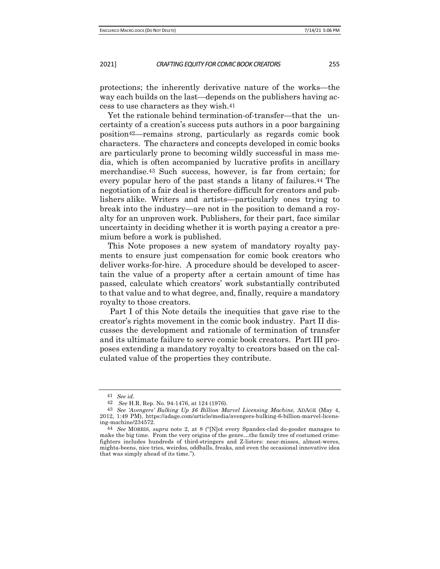protections; the inherently derivative nature of the works—the way each builds on the last—depends on the publishers having access to use characters as they wish.41

Yet the rationale behind termination-of-transfer—that the uncertainty of a creation's success puts authors in a poor bargaining position42—remains strong, particularly as regards comic book characters. The characters and concepts developed in comic books are particularly prone to becoming wildly successful in mass media, which is often accompanied by lucrative profits in ancillary merchandise.43 Such success, however, is far from certain; for every popular hero of the past stands a litany of failures.44 The negotiation of a fair deal is therefore difficult for creators and publishers alike. Writers and artists—particularly ones trying to break into the industry—are not in the position to demand a royalty for an unproven work. Publishers, for their part, face similar uncertainty in deciding whether it is worth paying a creator a premium before a work is published.

This Note proposes a new system of mandatory royalty payments to ensure just compensation for comic book creators who deliver works-for-hire. A procedure should be developed to ascertain the value of a property after a certain amount of time has passed, calculate which creators' work substantially contributed to that value and to what degree, and, finally, require a mandatory royalty to those creators.

Part I of this Note details the inequities that gave rise to the creator's rights movement in the comic book industry. Part II discusses the development and rationale of termination of transfer and its ultimate failure to serve comic book creators. Part III proposes extending a mandatory royalty to creators based on the calculated value of the properties they contribute.

<sup>41</sup> *See id.*

<sup>42</sup> *See* H.R. Rep. No. 94-1476, at 124 (1976).

<sup>43</sup> *See 'Avengers' Bulking Up \$6 Billion Marvel Licensing Machine,* ADAGE (May 4, 2012, 1:49 PM), https://adage.com/article/media/avengers-bulking-6-billion-marvel-licensing-machine/234572.

<sup>44</sup> *See* MORRIS, *supra* note 2, at 8 ("[N]ot every Spandex-clad do-gooder manages to make the big time. From the very origins of the genre…the family tree of costumed crimefighters includes hundreds of third-stringers and Z-listers: near-misses, almost-weres, mighta-beens, nice tries, weirdos, oddballs, freaks, and even the occasional innovative idea that was simply ahead of its time.").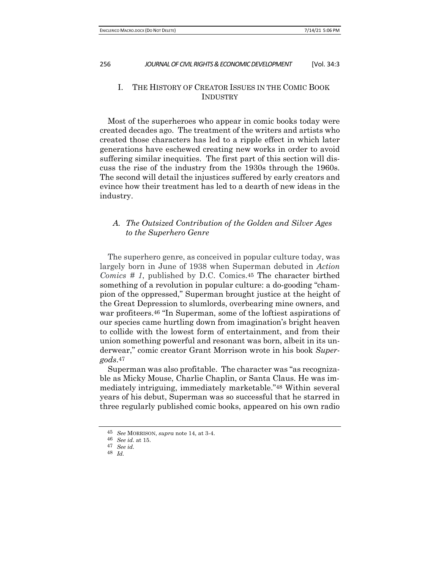## I. THE HISTORY OF CREATOR ISSUES IN THE COMIC BOOK **INDUSTRY**

Most of the superheroes who appear in comic books today were created decades ago. The treatment of the writers and artists who created those characters has led to a ripple effect in which later generations have eschewed creating new works in order to avoid suffering similar inequities. The first part of this section will discuss the rise of the industry from the 1930s through the 1960s. The second will detail the injustices suffered by early creators and evince how their treatment has led to a dearth of new ideas in the industry.

## *A. The Outsized Contribution of the Golden and Silver Ages to the Superhero Genre*

The superhero genre, as conceived in popular culture today, was largely born in June of 1938 when Superman debuted in *Action Comics # 1*, published by D.C. Comics.45 The character birthed something of a revolution in popular culture: a do-gooding "champion of the oppressed," Superman brought justice at the height of the Great Depression to slumlords, overbearing mine owners, and war profiteers.46 "In Superman, some of the loftiest aspirations of our species came hurtling down from imagination's bright heaven to collide with the lowest form of entertainment, and from their union something powerful and resonant was born, albeit in its underwear," comic creator Grant Morrison wrote in his book *Supergods*.47

Superman was also profitable. The character was "as recognizable as Micky Mouse, Charlie Chaplin, or Santa Claus. He was immediately intriguing, immediately marketable."48 Within several years of his debut, Superman was so successful that he starred in three regularly published comic books, appeared on his own radio

<sup>45</sup> *See* MORRISON, *supra* note 14, at 3-4.

<sup>46</sup> *See id.* at 15.

<sup>47</sup> *See id.* 48 *Id.*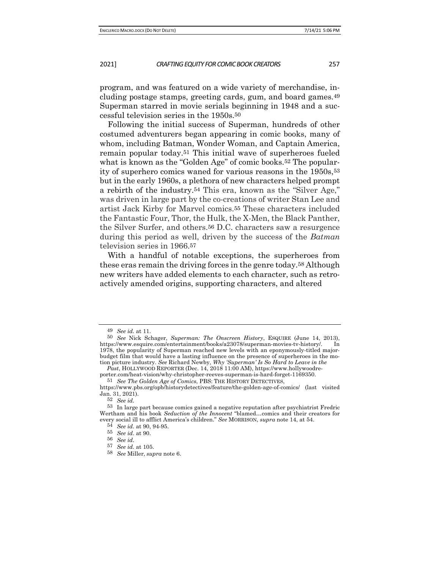program, and was featured on a wide variety of merchandise, including postage stamps, greeting cards, gum, and board games.49 Superman starred in movie serials beginning in 1948 and a successful television series in the 1950s.50

Following the initial success of Superman, hundreds of other costumed adventurers began appearing in comic books, many of whom, including Batman, Wonder Woman, and Captain America, remain popular today.51 This initial wave of superheroes fueled what is known as the "Golden Age" of comic books.<sup>52</sup> The popularity of superhero comics waned for various reasons in the 1950s,53 but in the early 1960s, a plethora of new characters helped prompt a rebirth of the industry.54 This era, known as the "Silver Age," was driven in large part by the co-creations of writer Stan Lee and artist Jack Kirby for Marvel comics.55 These characters included the Fantastic Four, Thor, the Hulk, the X-Men, the Black Panther, the Silver Surfer, and others.56 D.C. characters saw a resurgence during this period as well, driven by the success of the *Batman*  television series in 1966.57

With a handful of notable exceptions, the superheroes from these eras remain the driving forces in the genre today.58 Although new writers have added elements to each character, such as retroactively amended origins, supporting characters, and altered

<sup>49</sup> *See id.* at 11.

<sup>50</sup> *See* Nick Schager, *Superman: The Onscreen History*, ESQUIRE (June 14, 2013), https://www.esquire.com/entertainment/books/a23078/superman-movies-tv-history/. In 1978, the popularity of Superman reached new levels with an eponymously-titled majorbudget film that would have a lasting influence on the presence of superheroes in the motion picture industry. *See* Richard Newby, *Why 'Superman' Is So Hard to Leave in the* 

*Past*, HOLLYWOOD REPORTER (Dec. 14, 2018 11:00 AM), https://www.hollywoodreporter.com/heat-vision/why-christopher-reeves- superman-is-hard-forget-1169350. 51 *See The Golden Age of Comics*, PBS: THE HISTORY DETECTIVES,

https://www.pbs.org/opb/historydetectives/feature/the-golden-age-of-comics/ (last visited Jan. 31, 2021).

<sup>52</sup> *See id.*

<sup>53</sup> In large part because comics gained a negative reputation after psychiatrist Fredric Wertham and his book *Seduction of the Innocent* "blamed…comics and their creators for every social ill to afflict America's children." *See* MORRISON, *supra* note 14, at 54.

<sup>54</sup> *See id.* at 90, 94-95.

<sup>55</sup> *See id*. at 90.

<sup>56</sup> *See id*. 57 *See id.* at 105.

<sup>58</sup> *See* Miller, *supra* note 6.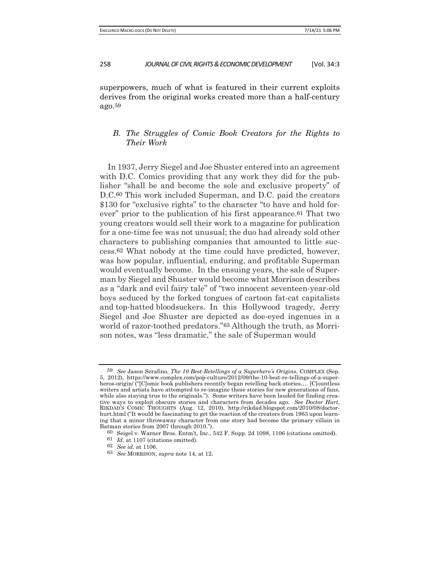superpowers, much of what is featured in their current exploits derives from the original works created more than a half-century ago.59

## *B. The Struggles of Comic Book Creators for the Rights to Their Work*

In 1937, Jerry Siegel and Joe Shuster entered into an agreement with D.C. Comics providing that any work they did for the publisher "shall be and become the sole and exclusive property" of D.C.60 This work included Superman, and D.C. paid the creators \$130 for "exclusive rights" to the character "to have and hold forever" prior to the publication of his first appearance.61 That two young creators would sell their work to a magazine for publication for a one-time fee was not unusual; the duo had already sold other characters to publishing companies that amounted to little success.62 What nobody at the time could have predicted, however, was how popular, influential, enduring, and profitable Superman would eventually become. In the ensuing years, the sale of Superman by Siegel and Shuster would become what Morrison describes as a "dark and evil fairy tale" of "two innocent seventeen-year-old boys seduced by the forked tongues of cartoon fat-cat capitalists and top-hatted bloodsuckers. In this Hollywood tragedy, Jerry Siegel and Joe Shuster are depicted as doe-eyed ingenues in a world of razor-toothed predators."63 Although the truth, as Morrison notes, was "less dramatic," the sale of Superman would

<sup>59</sup> *See* Jason Serafino, *The 10 Best-Retellings of a Superhero's Origins*, COMPLEX (Sep. 5, 2012), https://www.complex.com/pop-culture/2012/09/the-10-best-re-tellings-of-a-superheros-origin/ ("[C]omic book publishers recently began retelling back-stories…. [C]ountless writers and artists have attempted to re-imagine these stories for new generations of fans, while also staying true to the originals."). Some writers have been lauded for finding creative ways to exploit obscure stories and characters from decades ago. *See Doctor Hurt*, RIKDAD'S COMIC THOUGHTS (Aug. 12, 2010), http://rikdad.blogspot.com/2010/08/doctorhurt.html ("It would be fascinating to get the reaction of the creators from 1963 upon learning that a minor throwaway character from one story had become the primary villain in Batman stories from 2007 through 2010.").

<sup>60</sup> Seigel v. Warner Bros. Entm't, Inc., 542 F. Supp. 2d 1098, 1106 (citations omitted).

<sup>61</sup> *Id.* at 1107 (citations omitted).

<sup>62</sup> *See id.* at 1106.

<sup>63</sup> *See* MORRISON, *supra* note 14, at 12.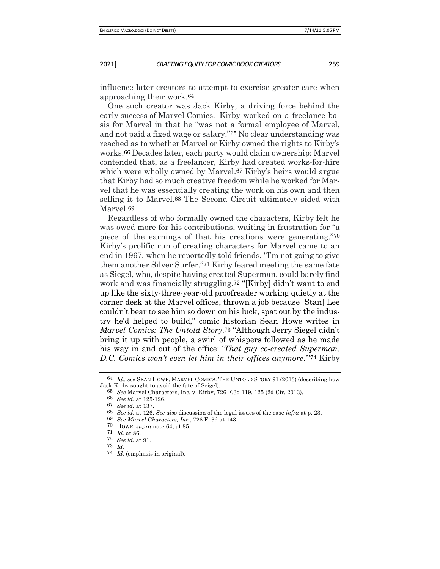influence later creators to attempt to exercise greater care when approaching their work.64

One such creator was Jack Kirby, a driving force behind the early success of Marvel Comics. Kirby worked on a freelance basis for Marvel in that he "was not a formal employee of Marvel, and not paid a fixed wage or salary."65 No clear understanding was reached as to whether Marvel or Kirby owned the rights to Kirby's works.66 Decades later, each party would claim ownership: Marvel contended that, as a freelancer, Kirby had created works-for-hire which were wholly owned by Marvel.<sup>67</sup> Kirby's heirs would argue that Kirby had so much creative freedom while he worked for Marvel that he was essentially creating the work on his own and then selling it to Marvel.68 The Second Circuit ultimately sided with Marvel.69

Regardless of who formally owned the characters, Kirby felt he was owed more for his contributions, waiting in frustration for "a piece of the earnings of that his creations were generating."70 Kirby's prolific run of creating characters for Marvel came to an end in 1967, when he reportedly told friends, "I'm not going to give them another Silver Surfer."71 Kirby feared meeting the same fate as Siegel, who, despite having created Superman, could barely find work and was financially struggling.72 "[Kirby] didn't want to end up like the sixty-three-year-old proofreader working quietly at the corner desk at the Marvel offices, thrown a job because [Stan] Lee couldn't bear to see him so down on his luck, spat out by the industry he'd helped to build," comic historian Sean Howe writes in *Marvel Comics: The Untold Story*.73 "Although Jerry Siegel didn't bring it up with people, a swirl of whispers followed as he made his way in and out of the office: '*That guy co-created Superman. D.C. Comics won't even let him in their offices anymore*.'"74 Kirby

<sup>64</sup> *Id.; see* SEAN HOWE, MARVEL COMICS: THE UNTOLD STORY 91 (2013) (describing how Jack Kirby sought to avoid the fate of Seigel). 65 *See* Marvel Characters, Inc. v. Kirby, 726 F.3d 119, 125 (2d Cir. 2013).

<sup>66</sup> *See id*. at 125-126.

<sup>67</sup> *See id.* at 137.

<sup>68</sup> *See id*. at 126. *See also* discussion of the legal issues of the case *infra* at p. 23.

<sup>69</sup> *See Marvel Characters, Inc.*, 726 F. 3d at 143.

<sup>70</sup> HOWE, *supra* note 64, at 85.

<sup>71</sup> *Id.* at 86.

<sup>72</sup> *See id.* at 91.

<sup>73</sup> *Id.*

<sup>74</sup> *Id.* (emphasis in original).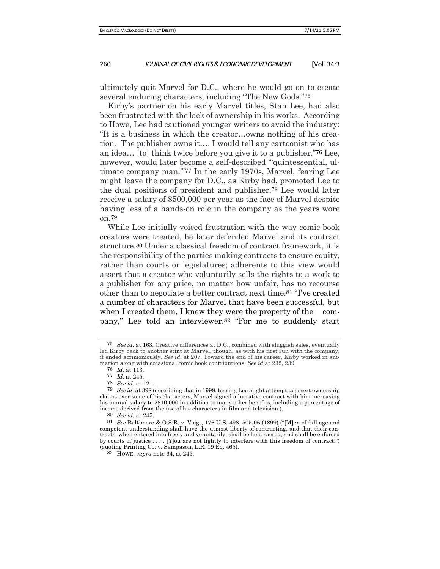ultimately quit Marvel for D.C., where he would go on to create several enduring characters, including "The New Gods."75

Kirby's partner on his early Marvel titles, Stan Lee, had also been frustrated with the lack of ownership in his works. According to Howe, Lee had cautioned younger writers to avoid the industry: "It is a business in which the creator…owns nothing of his creation. The publisher owns it…. I would tell any cartoonist who has an idea… [to] think twice before you give it to a publisher."76 Lee, however, would later become a self-described "'quintessential, ultimate company man.'"77 In the early 1970s, Marvel, fearing Lee might leave the company for D.C., as Kirby had, promoted Lee to the dual positions of president and publisher.78 Lee would later receive a salary of \$500,000 per year as the face of Marvel despite having less of a hands-on role in the company as the years wore on.79

While Lee initially voiced frustration with the way comic book creators were treated, he later defended Marvel and its contract structure.80 Under a classical freedom of contract framework, it is the responsibility of the parties making contracts to ensure equity, rather than courts or legislatures; adherents to this view would assert that a creator who voluntarily sells the rights to a work to a publisher for any price, no matter how unfair, has no recourse other than to negotiate a better contract next time.81 "I've created a number of characters for Marvel that have been successful, but when I created them, I knew they were the property of the company," Lee told an interviewer.82 "For me to suddenly start

<sup>75</sup> *See id.* at 163. Creative differences at D.C., combined with sluggish sales, eventually led Kirby back to another stint at Marvel, though, as with his first run with the company, it ended acrimoniously. *See id.* at 207. Toward the end of his career, Kirby worked in animation along with occasional comic book contributions. *See id* at 232, 239.<br><sup>76</sup> *Id.* at 113.

<sup>77</sup> *Id.* at 245.<br>78 *See id.* at 2 78 *See id.* at 121.

<sup>79</sup> *See id.* at 398 (describing that in 1998, fearing Lee might attempt to assert ownership claims over some of his characters, Marvel signed a lucrative contract with him increasing his annual salary to \$810,000 in addition to many other benefits, including a percentage of income derived from the use of his characters in film and television.).

<sup>80</sup> *See id.* at 245.

<sup>81</sup> *See* Baltimore & O.S.R. v. Voigt, 176 U.S. 498, 505-06 (1899) ("[M]en of full age and competent understanding shall have the utmost liberty of contracting, and that their contracts, when entered into freely and voluntarily, shall be held sacred, and shall be enforced by courts of justice . . . . [Y]ou are not lightly to interfere with this freedom of contract.") (quoting Printing Co. v. Sampason, L.R. 19 Eq. 465).

<sup>82</sup> HOWE, *supra* note 64, at 245.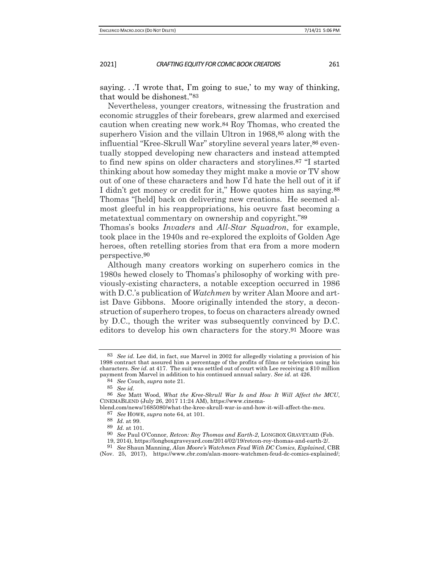saying. . .'I wrote that, I'm going to sue,' to my way of thinking, that would be dishonest."83

Nevertheless, younger creators, witnessing the frustration and economic struggles of their forebears, grew alarmed and exercised caution when creating new work.84 Roy Thomas, who created the superhero Vision and the villain Ultron in 1968,<sup>85</sup> along with the influential "Kree-Skrull War" storyline several years later,86 eventually stopped developing new characters and instead attempted to find new spins on older characters and storylines.87 "I started thinking about how someday they might make a movie or TV show out of one of these characters and how I'd hate the hell out of it if I didn't get money or credit for it," Howe quotes him as saying.88 Thomas "[held] back on delivering new creations. He seemed almost gleeful in his reappropriations, his oeuvre fast becoming a metatextual commentary on ownership and copyright."89

Thomas's books *Invaders* and *All-Star Squadron*, for example, took place in the 1940s and re-explored the exploits of Golden Age heroes, often retelling stories from that era from a more modern perspective.90

Although many creators working on superhero comics in the 1980s hewed closely to Thomas's philosophy of working with previously-existing characters, a notable exception occurred in 1986 with D.C.'s publication of *Watchmen* by writer Alan Moore and artist Dave Gibbons. Moore originally intended the story, a deconstruction of superhero tropes, to focus on characters already owned by D.C., though the writer was subsequently convinced by D.C. editors to develop his own characters for the story.91 Moore was

91 *See* Shaun Manning, *Alan Moore's Watchmen Feud With DC Comics, Explained*, CBR

<sup>83</sup> *See id.* Lee did, in fact, sue Marvel in 2002 for allegedly violating a provision of his 1998 contract that assured him a percentage of the profits of films or television using his characters. *See id.* at 417. The suit was settled out of court with Lee receiving a \$10 million payment from Marvel in addition to his continued annual salary. *See id.* at 426.

<sup>84</sup> *See* Couch, *supra* note 21.

<sup>85</sup> *See id.*

<sup>86</sup> *See* Matt Wood, *What the Kree-Skrull War Is and How It Will Affect the MCU*, CINEMABLEND (July 26, 2017 11:24 AM), https://www.cinema-

blend.com/news/1685080/what-the-kree-skrull-war-is-and-how-it-will-affect-the-mcu. 87 *See* HOWE, *supra* note 64, at 101.

<sup>88</sup> *Id.* at 99.

<sup>89</sup> *Id.* at 101.

<sup>90</sup> *See* Paul O'Connor, *Retcon: Roy Thomas and Earth-2*, LONGBOX GRAVEYARD (Feb.

<sup>19, 2014),</sup> https://longboxgraveyard.com/2014/02/19/retcon-roy-thomas-and-earth-2/.

<sup>(</sup>Nov. 25, 2017), https://www.cbr.com/alan-moore-watchmen-feud-dc-comics-explained/;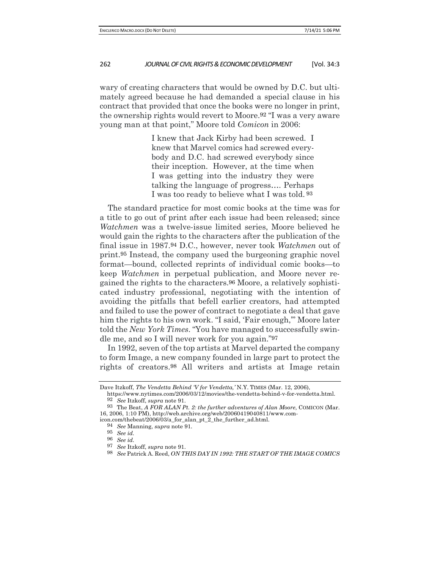wary of creating characters that would be owned by D.C. but ultimately agreed because he had demanded a special clause in his contract that provided that once the books were no longer in print, the ownership rights would revert to Moore.92 "I was a very aware young man at that point," Moore told *Comicon* in 2006:

> I knew that Jack Kirby had been screwed. I knew that Marvel comics had screwed everybody and D.C. had screwed everybody since their inception. However, at the time when I was getting into the industry they were talking the language of progress…. Perhaps I was too ready to believe what I was told. 93

The standard practice for most comic books at the time was for a title to go out of print after each issue had been released; since *Watchmen* was a twelve-issue limited series, Moore believed he would gain the rights to the characters after the publication of the final issue in 1987.94 D.C., however, never took *Watchmen* out of print.95 Instead, the company used the burgeoning graphic novel format—bound, collected reprints of individual comic books—to keep *Watchmen* in perpetual publication, and Moore never regained the rights to the characters.96 Moore, a relatively sophisticated industry professional, negotiating with the intention of avoiding the pitfalls that befell earlier creators, had attempted and failed to use the power of contract to negotiate a deal that gave him the rights to his own work. "I said, 'Fair enough," Moore later told the *New York Times*. "You have managed to successfully swindle me, and so I will never work for you again."97

In 1992, seven of the top artists at Marvel departed the company to form Image, a new company founded in large part to protect the rights of creators.98 All writers and artists at Image retain

94 *See* Manning, *supra* note 91*.*

Dave Itzkoff, *The Vendetta Behind 'V for Vendetta,'* N.Y. TIMES (Mar. 12, 2006),

https://www.nytimes.com/2006/03/12/movies/the-vendetta-behind-v-for-vendetta.html. 92 *See* Itzkoff, *supra* note 91.

<sup>93</sup> The Beat, *A FOR ALAN Pt. 2: the further adventures of Alan Moore*, COMICON (Mar. 16, 2006, 1:10 PM), http://web.archive.org/web/20060419040811/www.comicon.com/thebeat/2006/03/a\_for\_alan\_pt\_2\_the\_further\_ad.html.

<sup>95</sup> *See id.*

<sup>96</sup> *See id.*

<sup>97</sup> *See* Itzkoff, *supra* note 91.

<sup>98</sup> *See* Patrick A. Reed, *ON THIS DAY IN 1992: THE START OF THE IMAGE COMICS*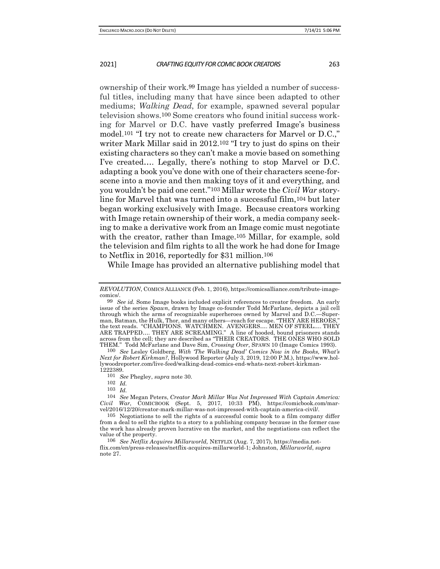ownership of their work.99 Image has yielded a number of successful titles, including many that have since been adapted to other mediums; *Walking Dead*, for example, spawned several popular television shows.100 Some creators who found initial success working for Marvel or D.C. have vastly preferred Image's business model.101 "I try not to create new characters for Marvel or D.C.," writer Mark Millar said in 2012.102 "I try to just do spins on their existing characters so they can't make a movie based on something I've created…. Legally, there's nothing to stop Marvel or D.C. adapting a book you've done with one of their characters scene-forscene into a movie and then making toys of it and everything, and you wouldn't be paid one cent."103 Millar wrote the *Civil War* storyline for Marvel that was turned into a successful film,104 but later began working exclusively with Image. Because creators working with Image retain ownership of their work, a media company seeking to make a derivative work from an Image comic must negotiate with the creator, rather than Image.105 Millar, for example, sold the television and film rights to all the work he had done for Image to Netflix in 2016, reportedly for \$31 million.106

While Image has provided an alternative publishing model that

100 *See* Lesley Goldberg, *With 'The Walking Dead' Comics Now in the Books, What's Next for Robert Kirkman?*, Hollywood Reporter (July 3, 2019, 12:00 P.M.), https://www.hollywoodreporter.com/live-feed/walking-dead-comics-end-whats-next-robert-kirkman-1222389.

*REVOLUTION*, COMICS ALLIANCE (Feb. 1, 2016), https://comicsalliance.com/tribute-imagecomics/.

<sup>99</sup> *See id.* Some Image books included explicit references to creator freedom. An early issue of the series *Spawn*, drawn by Image co-founder Todd McFarlane, depicts a jail cell through which the arms of recognizable superheroes owned by Marvel and D.C.—Superman, Batman, the Hulk, Thor, and many others—reach for escape. "THEY ARE HEROES," the text reads. "CHAMPIONS. WATCHMEN. AVENGERS…. MEN OF STEEL…. THEY ARE TRAPPED…. THEY ARE SCREAMING." A line of hooded, bound prisoners stands across from the cell; they are described as "THEIR CREATORS. THE ONES WHO SOLD THEM." Todd McFarlane and Dave Sim, *Crossing Over*, SPAWN 10 (Image Comics 1993).

<sup>101</sup> *See* Phegley, *supra* note 30.

<sup>102</sup> *Id.*

<sup>103</sup> *Id.*

<sup>104</sup> *See* Megan Peters, *Creator Mark Millar Was Not Impressed With Captain America: Civil War*, COMICBOOK (Sept. 5, 2017, 10:33 PM), https://comicbook.com/marvel/2016/12/20/creator-mark-millar-was-not-impressed-with-captain-america-civil/.

<sup>105</sup> Negotiations to sell the rights of a successful comic book to a film company differ from a deal to sell the rights to a story to a publishing company because in the former case the work has already proven lucrative on the market, and the negotiations can reflect the value of the property.

<sup>106</sup> *See Netflix Acquires Millarworld,* NETFLIX (Aug. 7, 2017), https://media.netflix.com/en/press-releases/netflix-acquires-millarworld-1; Johnston, *Millarworld*, *supra*  note 27.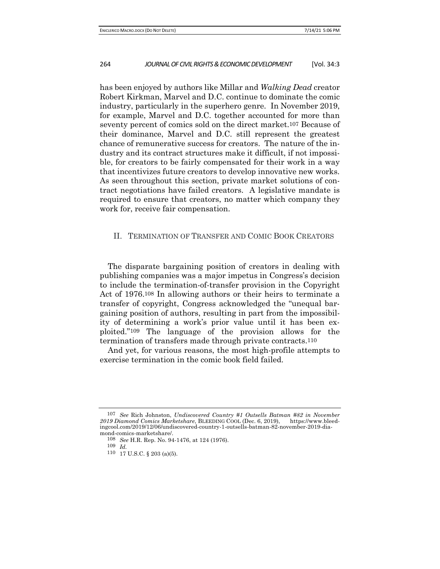has been enjoyed by authors like Millar and *Walking Dead* creator Robert Kirkman, Marvel and D.C. continue to dominate the comic industry, particularly in the superhero genre. In November 2019, for example, Marvel and D.C. together accounted for more than seventy percent of comics sold on the direct market.107 Because of their dominance, Marvel and D.C. still represent the greatest chance of remunerative success for creators. The nature of the industry and its contract structures make it difficult, if not impossible, for creators to be fairly compensated for their work in a way that incentivizes future creators to develop innovative new works. As seen throughout this section, private market solutions of contract negotiations have failed creators. A legislative mandate is required to ensure that creators, no matter which company they work for, receive fair compensation.

## II. TERMINATION OF TRANSFER AND COMIC BOOK CREATORS

The disparate bargaining position of creators in dealing with publishing companies was a major impetus in Congress's decision to include the termination-of-transfer provision in the Copyright Act of 1976.108 In allowing authors or their heirs to terminate a transfer of copyright, Congress acknowledged the "unequal bargaining position of authors, resulting in part from the impossibility of determining a work's prior value until it has been exploited."109 The language of the provision allows for the termination of transfers made through private contracts.110

And yet, for various reasons, the most high-profile attempts to exercise termination in the comic book field failed.

<sup>107</sup> *See* Rich Johnston, *Undiscovered Country #1 Outsells Batman #82 in November 2019 Diamond Comics Marketshare*, BLEEDING COOL (Dec. 6, 2019), https://www.bleedingcool.com/2019/12/06/undiscovered-country-1-outsells-batman-82-november-2019-diamond-comics-marketshare/.

<sup>108</sup> *See* H.R. Rep. No. 94-1476, at 124 (1976).

<sup>109</sup> *Id.*

<sup>110</sup> 17 U.S.C. § 203 (a)(5).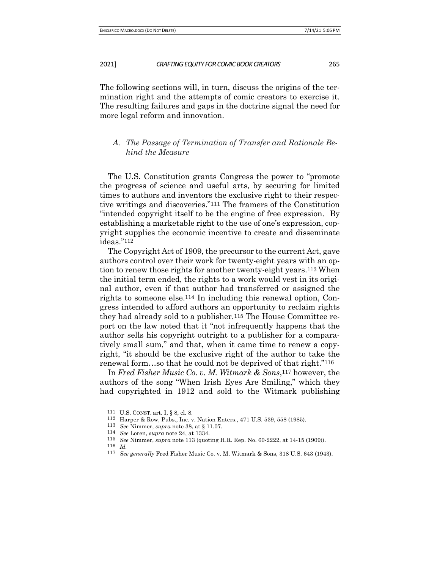The following sections will, in turn, discuss the origins of the termination right and the attempts of comic creators to exercise it. The resulting failures and gaps in the doctrine signal the need for more legal reform and innovation.

## *A. The Passage of Termination of Transfer and Rationale Behind the Measure*

The U.S. Constitution grants Congress the power to "promote the progress of science and useful arts, by securing for limited times to authors and inventors the exclusive right to their respective writings and discoveries."111 The framers of the Constitution "intended copyright itself to be the engine of free expression. By establishing a marketable right to the use of one's expression, copyright supplies the economic incentive to create and disseminate ideas."112

The Copyright Act of 1909, the precursor to the current Act, gave authors control over their work for twenty-eight years with an option to renew those rights for another twenty-eight years.113 When the initial term ended, the rights to a work would vest in its original author, even if that author had transferred or assigned the rights to someone else.114 In including this renewal option, Congress intended to afford authors an opportunity to reclaim rights they had already sold to a publisher.115 The House Committee report on the law noted that it "not infrequently happens that the author sells his copyright outright to a publisher for a comparatively small sum," and that, when it came time to renew a copyright, "it should be the exclusive right of the author to take the renewal form…so that he could not be deprived of that right."116

In *Fred Fisher Music Co. v. M. Witmark & Sons*,117 however, the authors of the song "When Irish Eyes Are Smiling," which they had copyrighted in 1912 and sold to the Witmark publishing

<sup>111</sup> U.S. CONST. art. I, § 8, cl. 8.

<sup>112</sup> Harper & Row, Pubs., Inc. v. Nation Enters., 471 U.S. 539, 558 (1985).

<sup>113</sup> *See* Nimmer, *supra* note 38, at § 11.07.

<sup>114</sup> *See* Loren, *supra* note 24, at 1334.

<sup>115</sup> *See* Nimmer, *supra* note 113 (quoting H.R. Rep. No. 60-2222, at 14-15 (1909)).

<sup>116</sup> *Id.*

<sup>117</sup> *See generally* Fred Fisher Music Co. v. M. Witmark & Sons, 318 U.S. 643 (1943).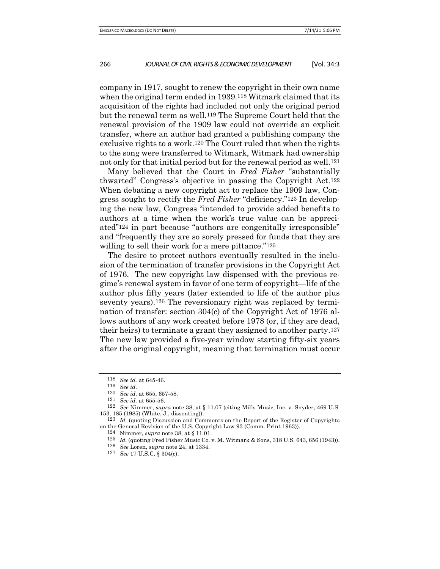company in 1917, sought to renew the copyright in their own name when the original term ended in 1939.118 Witmark claimed that its acquisition of the rights had included not only the original period but the renewal term as well.119 The Supreme Court held that the renewal provision of the 1909 law could not override an explicit transfer, where an author had granted a publishing company the exclusive rights to a work.120 The Court ruled that when the rights to the song were transferred to Witmark, Witmark had ownership not only for that initial period but for the renewal period as well.121

Many believed that the Court in *Fred Fisher* "substantially thwarted" Congress's objective in passing the Copyright Act.122 When debating a new copyright act to replace the 1909 law, Congress sought to rectify the *Fred Fisher* "deficiency."123 In developing the new law, Congress "intended to provide added benefits to authors at a time when the work's true value can be appreciated"124 in part because "authors are congenitally irresponsible" and "frequently they are so sorely pressed for funds that they are willing to sell their work for a mere pittance."<sup>125</sup>

The desire to protect authors eventually resulted in the inclusion of the termination of transfer provisions in the Copyright Act of 1976. The new copyright law dispensed with the previous regime's renewal system in favor of one term of copyright—life of the author plus fifty years (later extended to life of the author plus seventy years).<sup>126</sup> The reversionary right was replaced by termination of transfer: section 304(c) of the Copyright Act of 1976 allows authors of any work created before 1978 (or, if they are dead, their heirs) to terminate a grant they assigned to another party.127 The new law provided a five-year window starting fifty-six years after the original copyright, meaning that termination must occur

<sup>118</sup> *See id.* at 645-46. 119 *See id.*

<sup>120</sup> *See id.* at 655, 657-58.

<sup>121</sup> *See id.* at 655-56.

<sup>122</sup> *See* Nimmer, *supra* note 38, at § 11.07 (citing Mills Music, Inc. v. Snyder, 469 U.S. 153, 185 (1985) (White, J., dissenting)).

<sup>123</sup> *Id.* (quoting Discussion and Comments on the Report of the Register of Copyrights on the General Revision of the U.S. Copyright Law 93 (Comm. Print 1963)).

<sup>124</sup> Nimmer, *supra* note 38, at § 11.01.

<sup>125</sup> *Id.* (quoting Fred Fisher Music Co. v. M. Witmark & Sons, 318 U.S. 643, 656 (1943)).

<sup>126</sup> *See* Loren, *supra* note 24, at 1334.

<sup>127</sup> *See* 17 U.S.C. § 304(c).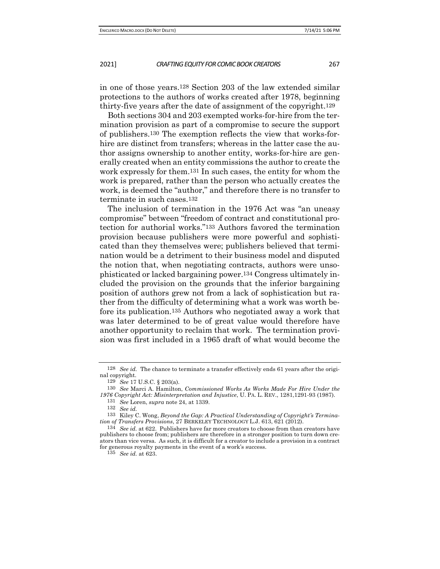in one of those years.128 Section 203 of the law extended similar protections to the authors of works created after 1978, beginning thirty-five years after the date of assignment of the copyright.129

Both sections 304 and 203 exempted works-for-hire from the termination provision as part of a compromise to secure the support of publishers.130 The exemption reflects the view that works-forhire are distinct from transfers; whereas in the latter case the author assigns ownership to another entity, works-for-hire are generally created when an entity commissions the author to create the work expressly for them.131 In such cases, the entity for whom the work is prepared, rather than the person who actually creates the work, is deemed the "author," and therefore there is no transfer to terminate in such cases.132

The inclusion of termination in the 1976 Act was "an uneasy compromise" between "freedom of contract and constitutional protection for authorial works."133 Authors favored the termination provision because publishers were more powerful and sophisticated than they themselves were; publishers believed that termination would be a detriment to their business model and disputed the notion that, when negotiating contracts, authors were unsophisticated or lacked bargaining power.134 Congress ultimately included the provision on the grounds that the inferior bargaining position of authors grew not from a lack of sophistication but rather from the difficulty of determining what a work was worth before its publication.135 Authors who negotiated away a work that was later determined to be of great value would therefore have another opportunity to reclaim that work. The termination provision was first included in a 1965 draft of what would become the

<sup>128</sup> *See id.* The chance to terminate a transfer effectively ends 61 years after the original copyright.

<sup>129</sup> *See* 17 U.S.C. § 203(a).

<sup>130</sup> *See* Marci A. Hamilton, *Commissioned Works As Works Made For Hire Under the 1976 Copyright Act: Misinterpretation and Injustice*, U. PA. L. REV., 1281,1291-93 (1987).

<sup>131</sup> *See* Loren, *supra* note 24, at 1339.

<sup>132</sup> *See id.*

<sup>133</sup> Kiley C. Wong, *Beyond the Gap: A Practical Understanding of Copyright's Termination of Transfers Provisions*, 27 BERKELEY TECHNOLOGY L.J. 613, 621 (2012).

<sup>134</sup> *See id.* at 622. Publishers have far more creators to choose from than creators have publishers to choose from; publishers are therefore in a stronger position to turn down creators than vice versa. As such, it is difficult for a creator to include a provision in a contract for generous royalty payments in the event of a work's success.

<sup>135</sup> *See id.* at 623.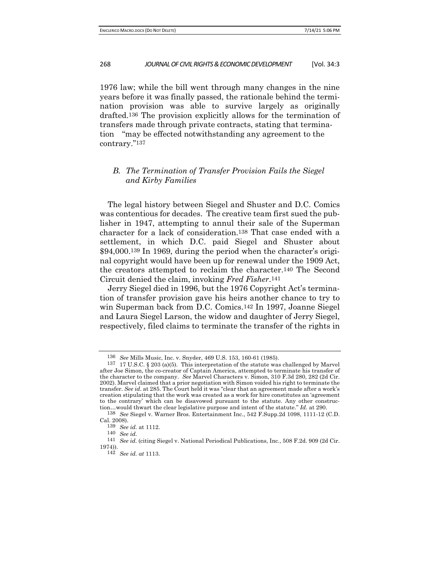1976 law; while the bill went through many changes in the nine years before it was finally passed, the rationale behind the termination provision was able to survive largely as originally drafted.136 The provision explicitly allows for the termination of transfers made through private contracts, stating that termination "may be effected notwithstanding any agreement to the contrary."137

## *B. The Termination of Transfer Provision Fails the Siegel and Kirby Families*

The legal history between Siegel and Shuster and D.C. Comics was contentious for decades. The creative team first sued the publisher in 1947, attempting to annul their sale of the Superman character for a lack of consideration.138 That case ended with a settlement, in which D.C. paid Siegel and Shuster about \$94,000.139 In 1969, during the period when the character's original copyright would have been up for renewal under the 1909 Act, the creators attempted to reclaim the character.140 The Second Circuit denied the claim, invoking *Fred Fisher*.141

Jerry Siegel died in 1996, but the 1976 Copyright Act's termination of transfer provision gave his heirs another chance to try to win Superman back from D.C. Comics.142 In 1997, Joanne Siegel and Laura Siegel Larson, the widow and daughter of Jerry Siegel, respectively, filed claims to terminate the transfer of the rights in

<sup>136</sup> *See* Mills Music, Inc. v. Snyder, 469 U.S. 153, 160-61 (1985).

<sup>137</sup> 17 U.S.C. § 203 (a)(5). This interpretation of the statute was challenged by Marvel after Joe Simon, the co-creator of Captain America, attempted to terminate his transfer of the character to the company. *See* Marvel Characters v. Simon, 310 F.3d 280, 282 (2d Cir. 2002). Marvel claimed that a prior negotiation with Simon voided his right to terminate the transfer. *See id*. at 285. The Court held it was "clear that an agreement made after a work's creation stipulating that the work was created as a work for hire constitutes an 'agreement to the contrary' which can be disavowed pursuant to the statute. Any other construction…would thwart the clear legislative purpose and intent of the statute." *Id*. at 290.

<sup>138</sup> *See* Siegel v. Warner Bros. Entertainment Inc., 542 F.Supp.2d 1098, 1111-12 (C.D. Cal. 2008).

<sup>139</sup> *See id.* at 1112.

<sup>140</sup> *See id.*

<sup>141</sup> *See id.* (citing Siegel v. National Periodical Publications, Inc*.*, 508 F.2d. 909 (2d Cir. 1974)).

<sup>142</sup> *See id. at* 1113.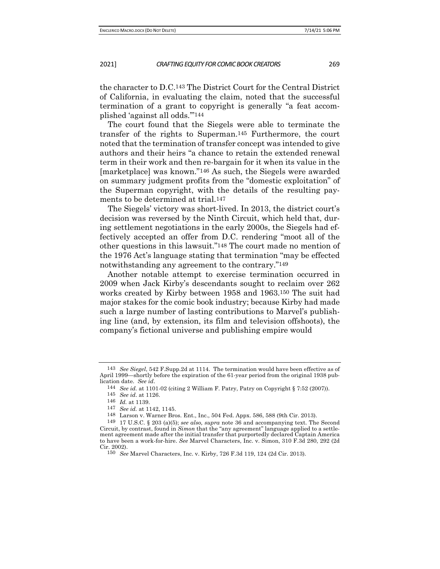the character to D.C.143 The District Court for the Central District of California, in evaluating the claim, noted that the successful termination of a grant to copyright is generally "a feat accomplished 'against all odds.'"144

The court found that the Siegels were able to terminate the transfer of the rights to Superman.145 Furthermore, the court noted that the termination of transfer concept was intended to give authors and their heirs "a chance to retain the extended renewal term in their work and then re-bargain for it when its value in the [marketplace] was known."146 As such, the Siegels were awarded on summary judgment profits from the "domestic exploitation" of the Superman copyright, with the details of the resulting payments to be determined at trial.147

The Siegels' victory was short-lived. In 2013, the district court's decision was reversed by the Ninth Circuit, which held that, during settlement negotiations in the early 2000s, the Siegels had effectively accepted an offer from D.C. rendering "moot all of the other questions in this lawsuit."148 The court made no mention of the 1976 Act's language stating that termination "may be effected notwithstanding any agreement to the contrary."149

Another notable attempt to exercise termination occurred in 2009 when Jack Kirby's descendants sought to reclaim over 262 works created by Kirby between 1958 and 1963.150 The suit had major stakes for the comic book industry; because Kirby had made such a large number of lasting contributions to Marvel's publishing line (and, by extension, its film and television offshoots), the company's fictional universe and publishing empire would

<sup>143</sup> *See Siegel*, 542 F.Supp.2d at 1114. The termination would have been effective as of April 1999—shortly before the expiration of the 61-year period from the original 1938 publication date. *See id.* 1101-02 (citing 2 William F. Patry, Patry on Copyright § 7:52 (2007)).

<sup>145</sup> *See id*. at 1126.

<sup>146</sup> *Id.* at 1139.

<sup>147</sup> *See id.* at 1142, 1145.

<sup>148</sup> Larson v. Warner Bros. Ent., Inc., 504 Fed. Appx. 586, 588 (9th Cir. 2013).

<sup>149</sup> 17 U.S.C. § 203 (a)(5); *see also, supra* note 36 and accompanying text. The Second Circuit, by contrast, found in *Simon* that the "any agreement" language applied to a settlement agreement made after the initial transfer that purportedly declared Captain America to have been a work-for-hire. *See* Marvel Characters, Inc. v. Simon, 310 F.3d 280, 292 (2d Cir. 2002).

<sup>150</sup> *See* Marvel Characters, Inc. v. Kirby, 726 F.3d 119, 124 (2d Cir. 2013)*.*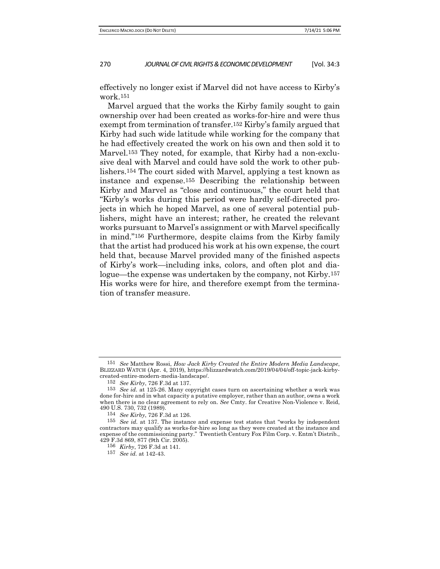effectively no longer exist if Marvel did not have access to Kirby's work.151

Marvel argued that the works the Kirby family sought to gain ownership over had been created as works-for-hire and were thus exempt from termination of transfer.152 Kirby's family argued that Kirby had such wide latitude while working for the company that he had effectively created the work on his own and then sold it to Marvel.153 They noted, for example, that Kirby had a non-exclusive deal with Marvel and could have sold the work to other publishers.154 The court sided with Marvel, applying a test known as instance and expense.155 Describing the relationship between Kirby and Marvel as "close and continuous," the court held that "Kirby's works during this period were hardly self-directed projects in which he hoped Marvel, as one of several potential publishers, might have an interest; rather, he created the relevant works pursuant to Marvel's assignment or with Marvel specifically in mind."156 Furthermore, despite claims from the Kirby family that the artist had produced his work at his own expense, the court held that, because Marvel provided many of the finished aspects of Kirby's work—including inks, colors, and often plot and dialogue—the expense was undertaken by the company, not Kirby.157 His works were for hire, and therefore exempt from the termination of transfer measure.

157 *See id.* at 142-43.

<sup>151</sup> *See* Matthew Rossi, *How Jack Kirby Created the Entire Modern Media Landscape*, BLIZZARD WATCH (Apr. 4, 2019), https://blizzardwatch.com/2019/04/04/off-topic-jack-kirbycreated-entire-modern-media-landscape/.

<sup>152</sup> *See Kirby*, 726 F.3d at 137.

<sup>153</sup> *See id.* at 125-26. Many copyright cases turn on ascertaining whether a work was done for-hire and in what capacity a putative employer, rather than an author, owns a work when there is no clear agreement to rely on. *See* Cmty. for Creative Non-Violence v. Reid, 490 U.S. 730, 732 (1989).

<sup>154</sup> *See Kirby*, 726 F.3d at 126.

<sup>155</sup> *See id.* at 137. The instance and expense test states that "works by independent contractors may qualify as works-for-hire so long as they were created at the instance and expense of the commissioning party." Twentieth Century Fox Film Corp. v. Entm't Distrib*.*, 429 F.3d 869, 877 (9th Cir. 2005).

<sup>156</sup> *Kirby*, 726 F.3d at 141.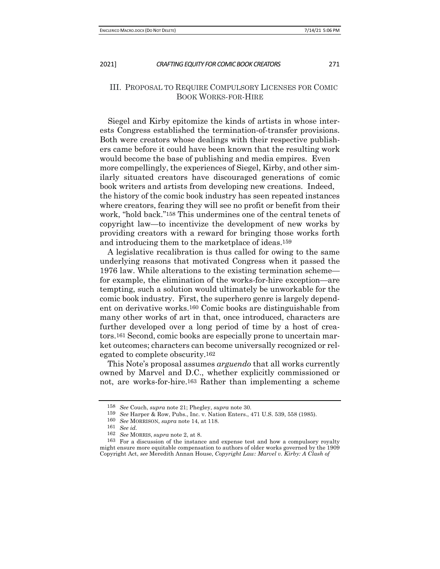## III. PROPOSAL TO REQUIRE COMPULSORY LICENSES FOR COMIC BOOK WORKS-FOR-HIRE

Siegel and Kirby epitomize the kinds of artists in whose interests Congress established the termination-of-transfer provisions. Both were creators whose dealings with their respective publishers came before it could have been known that the resulting work would become the base of publishing and media empires. Even more compellingly, the experiences of Siegel, Kirby, and other similarly situated creators have discouraged generations of comic book writers and artists from developing new creations. Indeed, the history of the comic book industry has seen repeated instances where creators, fearing they will see no profit or benefit from their work, "hold back."158 This undermines one of the central tenets of copyright law—to incentivize the development of new works by providing creators with a reward for bringing those works forth and introducing them to the marketplace of ideas.159

A legislative recalibration is thus called for owing to the same underlying reasons that motivated Congress when it passed the 1976 law. While alterations to the existing termination scheme for example, the elimination of the works-for-hire exception—are tempting, such a solution would ultimately be unworkable for the comic book industry. First, the superhero genre is largely dependent on derivative works.160 Comic books are distinguishable from many other works of art in that, once introduced, characters are further developed over a long period of time by a host of creators.161 Second, comic books are especially prone to uncertain market outcomes; characters can become universally recognized or relegated to complete obscurity.162

This Note's proposal assumes *arguendo* that all works currently owned by Marvel and D.C., whether explicitly commissioned or not, are works-for-hire.163 Rather than implementing a scheme

<sup>158</sup> *See* Couch, *supra* note 21; Phegley, *supra* note 30.

<sup>159</sup> *See* Harper & Row, Pubs., Inc. v. Nation Enters., 471 U.S. 539, 558 (1985). 160 *See* MORRISON, *supra* note 14, at 118.

<sup>161</sup> *See id.*

<sup>162</sup> *See* MORRIS, *supra* note 2, at 8.

<sup>163</sup> For a discussion of the instance and expense test and how a compulsory royalty might ensure more equitable compensation to authors of older works governed by the 1909 Copyright Act, *see* Meredith Annan House, *Copyright Law: Marvel v. Kirby: A Clash of*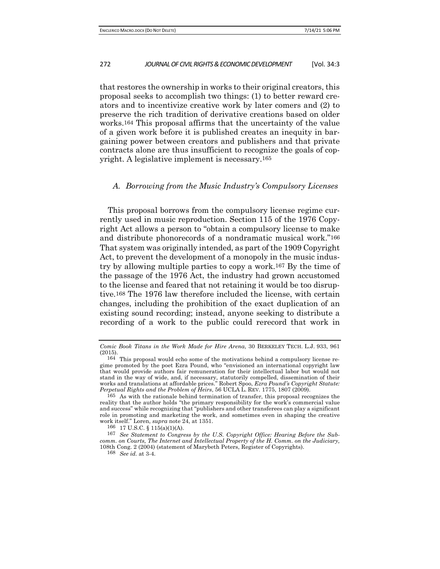that restores the ownership in works to their original creators, this proposal seeks to accomplish two things: (1) to better reward creators and to incentivize creative work by later comers and (2) to preserve the rich tradition of derivative creations based on older works.164 This proposal affirms that the uncertainty of the value of a given work before it is published creates an inequity in bargaining power between creators and publishers and that private contracts alone are thus insufficient to recognize the goals of copyright. A legislative implement is necessary.165

## *A. Borrowing from the Music Industry's Compulsory Licenses*

This proposal borrows from the compulsory license regime currently used in music reproduction. Section 115 of the 1976 Copyright Act allows a person to "obtain a compulsory license to make and distribute phonorecords of a nondramatic musical work."166 That system was originally intended, as part of the 1909 Copyright Act, to prevent the development of a monopoly in the music industry by allowing multiple parties to copy a work.167 By the time of the passage of the 1976 Act, the industry had grown accustomed to the license and feared that not retaining it would be too disruptive.168 The 1976 law therefore included the license, with certain changes, including the prohibition of the exact duplication of an existing sound recording; instead, anyone seeking to distribute a recording of a work to the public could rerecord that work in

*Comic Book Titans in the Work Made for Hire Arena*, 30 BERKELEY TECH. L.J. 933, 961 (2015).

<sup>164</sup> This proposal would echo some of the motivations behind a compulsory license regime promoted by the poet Ezra Pound, who "envisioned an international copyright law that would provide authors fair remuneration for their intellectual labor but would not stand in the way of wide, and, if necessary, statutorily compelled, dissemination of their works and translations at affordable prices." Robert Spoo, *Ezra Pound's Copyright Statute: Perpetual Rights and the Problem of Heirs*, 56 UCLA L. REV. 1775, 1807 (2009).

<sup>165</sup> As with the rationale behind termination of transfer, this proposal recognizes the reality that the author holds "the primary responsibility for the work's commercial value and success" while recognizing that "publishers and other transferees can play a significant role in promoting and marketing the work, and sometimes even in shaping the creative work itself." Loren, *supra* note 24, at 1351.

<sup>166</sup> 17 U.S.C. § 115(a)(1)(A).

<sup>167</sup> *See Statement to Congress by the U.S. Copyright Office: Hearing Before the Subcomm. on Courts, The Internet and Intellectual Property of the H. Comm. on the Judiciary,*  108th Cong. 2 (2004) (statement of Marybeth Peters, Register of Copyrights).

<sup>168</sup> *See id.* at 3-4.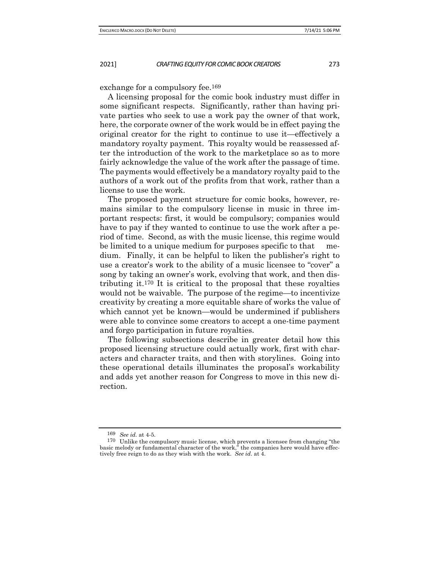exchange for a compulsory fee.169

A licensing proposal for the comic book industry must differ in some significant respects. Significantly, rather than having private parties who seek to use a work pay the owner of that work, here, the corporate owner of the work would be in effect paying the original creator for the right to continue to use it—effectively a mandatory royalty payment. This royalty would be reassessed after the introduction of the work to the marketplace so as to more fairly acknowledge the value of the work after the passage of time. The payments would effectively be a mandatory royalty paid to the authors of a work out of the profits from that work, rather than a license to use the work.

The proposed payment structure for comic books, however, remains similar to the compulsory license in music in three important respects: first, it would be compulsory; companies would have to pay if they wanted to continue to use the work after a period of time. Second, as with the music license, this regime would be limited to a unique medium for purposes specific to that medium. Finally, it can be helpful to liken the publisher's right to use a creator's work to the ability of a music licensee to "cover" a song by taking an owner's work, evolving that work, and then distributing it.170 It is critical to the proposal that these royalties would not be waivable. The purpose of the regime—to incentivize creativity by creating a more equitable share of works the value of which cannot yet be known—would be undermined if publishers were able to convince some creators to accept a one-time payment and forgo participation in future royalties.

The following subsections describe in greater detail how this proposed licensing structure could actually work, first with characters and character traits, and then with storylines. Going into these operational details illuminates the proposal's workability and adds yet another reason for Congress to move in this new direction.

<sup>169</sup> *See id.* at 4-5.

<sup>170</sup> Unlike the compulsory music license, which prevents a licensee from changing "the basic melody or fundamental character of the work," the companies here would have effectively free reign to do as they wish with the work. *See id*. at 4.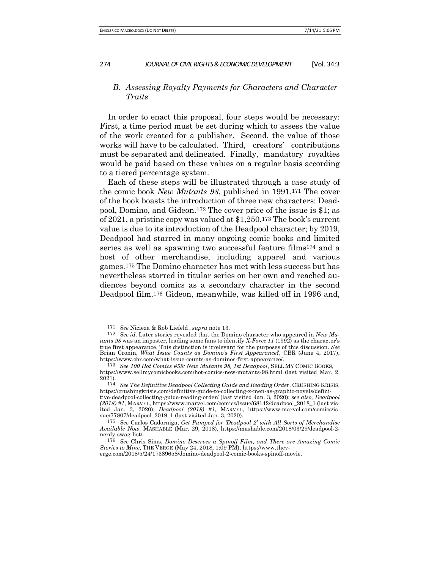## *B. Assessing Royalty Payments for Characters and Character Traits*

In order to enact this proposal, four steps would be necessary: First, a time period must be set during which to assess the value of the work created for a publisher. Second, the value of those works will have to be calculated. Third, creators' contributions must be separated and delineated. Finally, mandatory royalties would be paid based on these values on a regular basis according to a tiered percentage system.

Each of these steps will be illustrated through a case study of the comic book *New Mutants 98*, published in 1991.171 The cover of the book boasts the introduction of three new characters: Deadpool, Domino, and Gideon.172 The cover price of the issue is \$1; as of 2021, a pristine copy was valued at \$1,250.173 The book's current value is due to its introduction of the Deadpool character; by 2019, Deadpool had starred in many ongoing comic books and limited series as well as spawning two successful feature films174 and a host of other merchandise, including apparel and various games.175 The Domino character has met with less success but has nevertheless starred in titular series on her own and reached audiences beyond comics as a secondary character in the second Deadpool film.176 Gideon, meanwhile, was killed off in 1996 and,

<sup>171</sup> *See* Nicieza & Rob Liefeld , *supra* note 13.

<sup>172</sup> *See id.* Later stories revealed that the Domino character who appeared in *New Mutants 98* was an imposter, leading some fans to identify *X-Force 11* (1992) as the character's true first appearance. This distinction is irrelevant for the purposes of this discussion. *See*  Brian Cronin, *What Issue Counts as Domino's First Appearance?*, CBR (June 4, 2017), https://www.cbr.com/what-issue-counts-as-dominos-first-appearance/.

<sup>173</sup> *See 100 Hot Comics #59: New Mutants 98, 1st Deadpool*, SELL MY COMIC BOOKS, https://www.sellmycomicbooks.com/hot-comics-new-mutants-98.html (last visited Mar. 2, 2021).

<sup>174</sup> *See The Definitive Deadpool Collecting Guide and Reading Order*, CRUSHING KRISIS, https://crushingkrisis.com/definitive-guide-to-collecting-x-men-as-graphic-novels/definitive-deadpool-collecting-guide-reading-order/ (last visited Jan. 3, 2020); *see also, Deadpool (2018) #1*, MARVEL, https://www.marvel.com/comics/issue/68142/deadpool\_2018\_1 (last visited Jan. 3, 2020); *Deadpool (2019) #1*, MARVEL, https://www.marvel.com/comics/issue/77807/deadpool\_2019\_1 (last visited Jan. 3, 2020).

<sup>175</sup> *See* Carlos Cadorniga, *Get Pumped for 'Deadpool 2' with All Sorts of Merchandise Available Now,* MASHABLE (Mar. 29, 2018), https://mashable.com/2018/03/29/deadpool-2 nerdy-swag-list/.

<sup>176</sup> *See* Chris Sims, *Domino Deserves a Spinoff Film, and There are Amazing Comic Stories to Mine*, THE VERGE (May 24, 2018, 1:09 PM), https://www.theverge.com/2018/5/24/17389658/domino-deadpool-2-comic-books-spinoff-movie.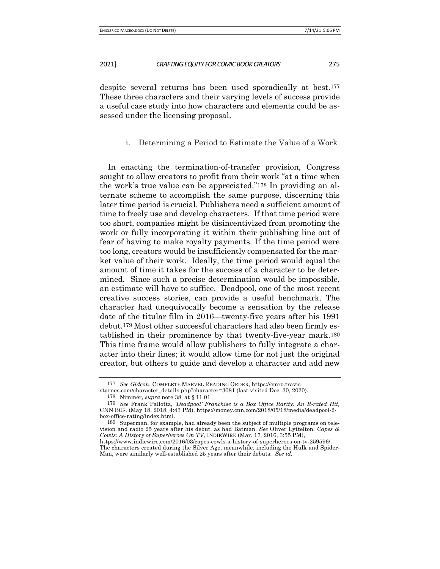despite several returns has been used sporadically at best.177 These three characters and their varying levels of success provide a useful case study into how characters and elements could be assessed under the licensing proposal.

## i. Determining a Period to Estimate the Value of a Work

In enacting the termination-of-transfer provision, Congress sought to allow creators to profit from their work "at a time when the work's true value can be appreciated."178 In providing an alternate scheme to accomplish the same purpose, discerning this later time period is crucial. Publishers need a sufficient amount of time to freely use and develop characters. If that time period were too short, companies might be disincentivized from promoting the work or fully incorporating it within their publishing line out of fear of having to make royalty payments. If the time period were too long, creators would be insufficiently compensated for the market value of their work. Ideally, the time period would equal the amount of time it takes for the success of a character to be determined. Since such a precise determination would be impossible, an estimate will have to suffice. Deadpool, one of the most recent creative success stories, can provide a useful benchmark. The character had unequivocally become a sensation by the release date of the titular film in 2016—twenty-five years after his 1991 debut.179 Most other successful characters had also been firmly established in their prominence by that twenty-five-year mark.180 This time frame would allow publishers to fully integrate a character into their lines; it would allow time for not just the original creator, but others to guide and develop a character and add new

<sup>177</sup> *See Gideon*, COMPLETE MARVEL READING ORDER, https://cmro.travis-

starnes.com/character\_details.php?character=3081 (last visited Dec. 30, 2020).

<sup>178</sup> Nimmer, *supra* note 38, at § 11.01.

<sup>179</sup> *See* Frank Pallotta, *'Deadpool' Franchise is a Box Office Rarity: An R-rated Hit,* CNN BUS. (May 18, 2018, 4:43 PM), https://money.cnn.com/2018/05/18/media/deadpool-2 box-office-rating/index.html.

<sup>180</sup> Superman, for example, had already been the subject of multiple programs on television and radio 25 years after his debut, as had Batman. *See* Oliver Lyttelton, *Capes & Cowls: A History of Superheroes On TV*, INDIEWIRE (Mar. 17, 2016, 3:55 PM),

https://www.indiewire.com/2016/03/capes-cowls-a-history-of-superheroes-on-tv-259596/. The characters created during the Silver Age, meanwhile, including the Hulk and Spider-Man, were similarly well-established 25 years after their debuts. *See id.*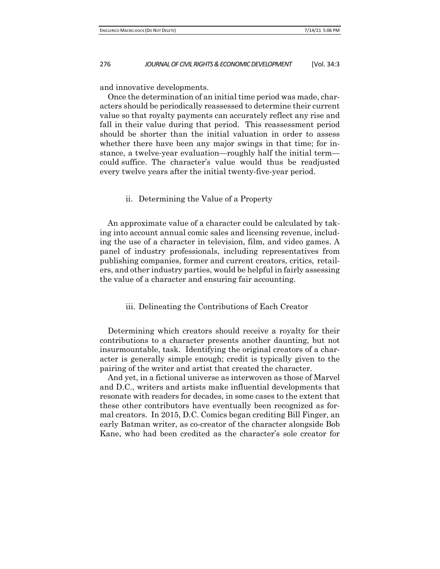and innovative developments.

Once the determination of an initial time period was made, characters should be periodically reassessed to determine their current value so that royalty payments can accurately reflect any rise and fall in their value during that period. This reassessment period should be shorter than the initial valuation in order to assess whether there have been any major swings in that time; for instance, a twelve-year evaluation—roughly half the initial term could suffice. The character's value would thus be readjusted every twelve years after the initial twenty-five-year period.

## ii. Determining the Value of a Property

An approximate value of a character could be calculated by taking into account annual comic sales and licensing revenue, including the use of a character in television, film, and video games. A panel of industry professionals, including representatives from publishing companies, former and current creators, critics, retailers, and other industry parties, would be helpful in fairly assessing the value of a character and ensuring fair accounting.

## iii. Delineating the Contributions of Each Creator

Determining which creators should receive a royalty for their contributions to a character presents another daunting, but not insurmountable, task. Identifying the original creators of a character is generally simple enough; credit is typically given to the pairing of the writer and artist that created the character.

And yet, in a fictional universe as interwoven as those of Marvel and D.C., writers and artists make influential developments that resonate with readers for decades, in some cases to the extent that these other contributors have eventually been recognized as formal creators. In 2015, D.C. Comics began crediting Bill Finger, an early Batman writer, as co-creator of the character alongside Bob Kane, who had been credited as the character's sole creator for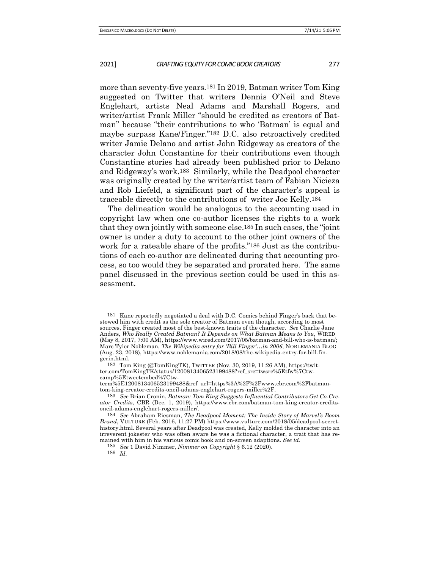more than seventy-five years.181 In 2019, Batman writer Tom King suggested on Twitter that writers Dennis O'Neil and Steve Englehart, artists Neal Adams and Marshall Rogers, and writer/artist Frank Miller "should be credited as creators of Batman" because "their contributions to who 'Batman' is equal and maybe surpass Kane/Finger."182 D.C. also retroactively credited writer Jamie Delano and artist John Ridgeway as creators of the character John Constantine for their contributions even though Constantine stories had already been published prior to Delano and Ridgeway's work.183 Similarly, while the Deadpool character was originally created by the writer/artist team of Fabian Nicieza and Rob Liefeld, a significant part of the character's appeal is traceable directly to the contributions of writer Joe Kelly.184

The delineation would be analogous to the accounting used in copyright law when one co-author licenses the rights to a work that they own jointly with someone else.185 In such cases, the "joint owner is under a duty to account to the other joint owners of the work for a rateable share of the profits."186 Just as the contributions of each co-author are delineated during that accounting process, so too would they be separated and prorated here. The same panel discussed in the previous section could be used in this assessment.

Kane reportedly negotiated a deal with D.C. Comics behind Finger's back that bestowed him with credit as the sole creator of Batman even though, according to most sources, Finger created most of the best-known traits of the character. *See* Charlie Jane Anders, *Who Really Created Batman? It Depends on What Batman Means to You*, WIRED (May 8, 2017, 7:00 AM), https://www.wired.com/2017/05/batman-and-bill-who-is-batman/; Marc Tyler Nobleman, *The Wikipedia entry for 'Bill Finger'…in 2006*, NOBLEMANIA BLOG (Aug. 23, 2018), https://www.noblemania.com/2018/08/the-wikipedia-entry-for-bill-fingerin.html.

<sup>182</sup> Tom King (@TomKingTK), TWITTER (Nov. 30, 2019, 11:26 AM), https://twitter.com/TomKingTK/status/1200813406523199488?ref\_src=twsrc%5Etfw%7Ctwcamp%5Etweetembed%7Ctw-

term%5E1200813406523199488&ref\_url=https%3A%2F%2Fwww.cbr.com%2Fbatmantom-king-creator-credits-oneil-adams-englehart-rogers-miller%2F.

<sup>183</sup> *See* Brian Cronin, *Batman: Tom King Suggests Influential Contributors Get Co-Creator Credits*, CBR (Dec. 1, 2019), https://www.cbr.com/batman-tom-king-creator-creditsoneil-adams-englehart-rogers-miller/.

<sup>184</sup> *See* Abraham Riesman, *The Deadpool Moment: The Inside Story of Marvel's Boom Brand*, VULTURE (Feb. 2016, 11:27 PM) https://www.vulture.com/2018/05/deadpool-secrethistory.html. Several years after Deadpool was created, Kelly molded the character into an irreverent jokester who was often aware he was a fictional character, a trait that has remained with him in his various comic book and on-screen adaptions. *See id*. 185 *See* 1 David Nimmer, *Nimmer on Copyright* § 6.12 (2020).

<sup>186</sup> *Id*.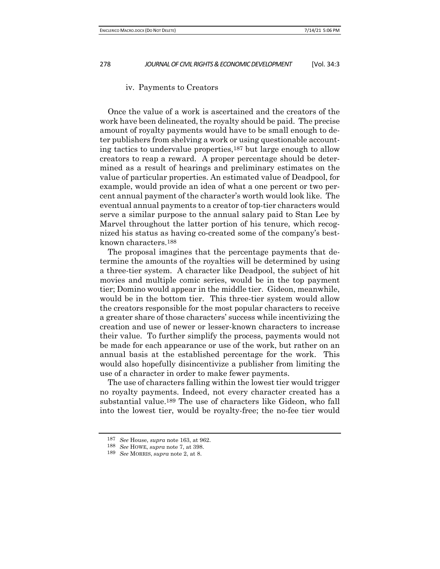## iv. Payments to Creators

Once the value of a work is ascertained and the creators of the work have been delineated, the royalty should be paid. The precise amount of royalty payments would have to be small enough to deter publishers from shelving a work or using questionable accounting tactics to undervalue properties,187 but large enough to allow creators to reap a reward. A proper percentage should be determined as a result of hearings and preliminary estimates on the value of particular properties. An estimated value of Deadpool, for example, would provide an idea of what a one percent or two percent annual payment of the character's worth would look like. The eventual annual payments to a creator of top-tier characters would serve a similar purpose to the annual salary paid to Stan Lee by Marvel throughout the latter portion of his tenure, which recognized his status as having co-created some of the company's bestknown characters.188

The proposal imagines that the percentage payments that determine the amounts of the royalties will be determined by using a three-tier system. A character like Deadpool, the subject of hit movies and multiple comic series, would be in the top payment tier; Domino would appear in the middle tier. Gideon, meanwhile, would be in the bottom tier. This three-tier system would allow the creators responsible for the most popular characters to receive a greater share of those characters' success while incentivizing the creation and use of newer or lesser-known characters to increase their value. To further simplify the process, payments would not be made for each appearance or use of the work, but rather on an annual basis at the established percentage for the work. This would also hopefully disincentivize a publisher from limiting the use of a character in order to make fewer payments.

The use of characters falling within the lowest tier would trigger no royalty payments. Indeed, not every character created has a substantial value.189 The use of characters like Gideon, who fall into the lowest tier, would be royalty-free; the no-fee tier would

<sup>187</sup> *See* House, *supra* note 163, at 962.

<sup>188</sup> *See* HOWE, *supra* note 7, at 398.

<sup>189</sup> *See* MORRIS, *supra* note 2, at 8.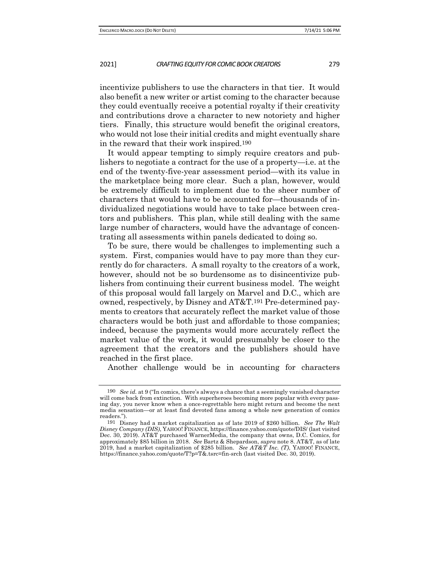incentivize publishers to use the characters in that tier. It would also benefit a new writer or artist coming to the character because they could eventually receive a potential royalty if their creativity and contributions drove a character to new notoriety and higher tiers. Finally, this structure would benefit the original creators, who would not lose their initial credits and might eventually share in the reward that their work inspired.190

It would appear tempting to simply require creators and publishers to negotiate a contract for the use of a property—i.e. at the end of the twenty-five-year assessment period—with its value in the marketplace being more clear. Such a plan, however, would be extremely difficult to implement due to the sheer number of characters that would have to be accounted for—thousands of individualized negotiations would have to take place between creators and publishers. This plan, while still dealing with the same large number of characters, would have the advantage of concentrating all assessments within panels dedicated to doing so.

To be sure, there would be challenges to implementing such a system. First, companies would have to pay more than they currently do for characters. A small royalty to the creators of a work, however, should not be so burdensome as to disincentivize publishers from continuing their current business model. The weight of this proposal would fall largely on Marvel and D.C., which are owned, respectively, by Disney and AT&T.191 Pre-determined payments to creators that accurately reflect the market value of those characters would be both just and affordable to those companies; indeed, because the payments would more accurately reflect the market value of the work, it would presumably be closer to the agreement that the creators and the publishers should have reached in the first place.

Another challenge would be in accounting for characters

<sup>190</sup> *See id.* at 9 ("In comics, there's always a chance that a seemingly vanished character will come back from extinction. With superheroes becoming more popular with every passing day, you never know when a once-regrettable hero might return and become the next media sensation—or at least find devoted fans among a whole new generation of comics readers.").

<sup>191</sup> Disney had a market capitalization as of late 2019 of \$260 billion. *See The Walt Disney Company (DIS)*, YAHOO! FINANCE, https://finance.yahoo.com/quote/DIS/ (last visited Dec. 30, 2019). AT&T purchased WarnerMedia, the company that owns, D.C. Comics, for approximately \$85 billion in 2018. *See* Bartz & Shepardson, *supra* note 8. AT&T, as of late 2019, had a market capitalization of \$285 billion. *See AT&T Inc. (T)*, YAHOO! FINANCE, https://finance.yahoo.com/quote/T?p=T&.tsrc=fin-srch (last visited Dec. 30, 2019).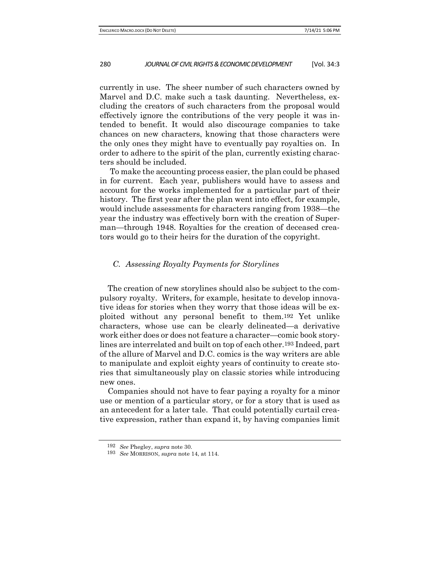currently in use. The sheer number of such characters owned by Marvel and D.C. make such a task daunting. Nevertheless, excluding the creators of such characters from the proposal would effectively ignore the contributions of the very people it was intended to benefit. It would also discourage companies to take chances on new characters, knowing that those characters were the only ones they might have to eventually pay royalties on. In order to adhere to the spirit of the plan, currently existing characters should be included.

To make the accounting process easier, the plan could be phased in for current. Each year, publishers would have to assess and account for the works implemented for a particular part of their history. The first year after the plan went into effect, for example, would include assessments for characters ranging from 1938—the year the industry was effectively born with the creation of Superman—through 1948. Royalties for the creation of deceased creators would go to their heirs for the duration of the copyright.

## *C. Assessing Royalty Payments for Storylines*

The creation of new storylines should also be subject to the compulsory royalty. Writers, for example, hesitate to develop innovative ideas for stories when they worry that those ideas will be exploited without any personal benefit to them.192 Yet unlike characters, whose use can be clearly delineated—a derivative work either does or does not feature a character—comic book storylines are interrelated and built on top of each other.193 Indeed, part of the allure of Marvel and D.C. comics is the way writers are able to manipulate and exploit eighty years of continuity to create stories that simultaneously play on classic stories while introducing new ones.

Companies should not have to fear paying a royalty for a minor use or mention of a particular story, or for a story that is used as an antecedent for a later tale. That could potentially curtail creative expression, rather than expand it, by having companies limit

<sup>192</sup> *See* Phegley, *supra* note 30.

<sup>193</sup> *See* MORRISON, *supra* note 14, at 114.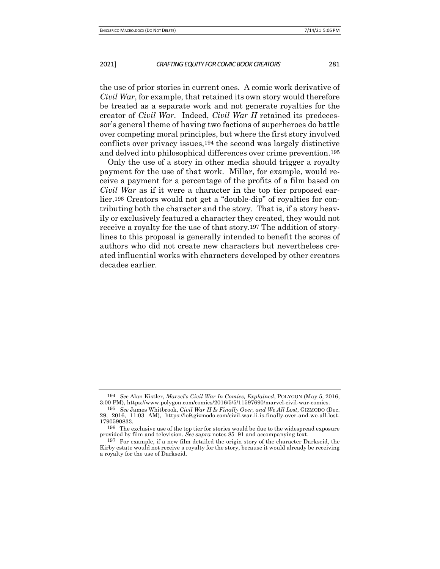the use of prior stories in current ones. A comic work derivative of *Civil War*, for example, that retained its own story would therefore be treated as a separate work and not generate royalties for the creator of *Civil War*. Indeed, *Civil War II* retained its predecessor's general theme of having two factions of superheroes do battle over competing moral principles, but where the first story involved conflicts over privacy issues,194 the second was largely distinctive and delved into philosophical differences over crime prevention.195

Only the use of a story in other media should trigger a royalty payment for the use of that work. Millar, for example, would receive a payment for a percentage of the profits of a film based on *Civil War* as if it were a character in the top tier proposed earlier.196 Creators would not get a "double-dip" of royalties for contributing both the character and the story. That is, if a story heavily or exclusively featured a character they created, they would not receive a royalty for the use of that story.197 The addition of storylines to this proposal is generally intended to benefit the scores of authors who did not create new characters but nevertheless created influential works with characters developed by other creators decades earlier.

<sup>194</sup> *See* Alan Kistler, *Marvel's Civil War In Comics, Explained*, POLYGON (May 5, 2016, 3:00 PM), https://www.polygon.com/comics/2016/5/5/11597690/marvel-civil-war-comics.

<sup>195</sup> *See* James Whitbrook, *Civil War II Is Finally Over, and We All Lost*, GIZMODO (Dec. 29, 2016, 11:03 AM), https://io9.gizmodo.com/civil-war-ii-is-finally-over-and-we-all-lost-1790590833.

<sup>196</sup> The exclusive use of the top tier for stories would be due to the widespread exposure provided by film and television. *See supra* notes 85–91 and accompanying text.

<sup>197</sup> For example, if a new film detailed the origin story of the character Darkseid, the Kirby estate would not receive a royalty for the story, because it would already be receiving a royalty for the use of Darkseid.